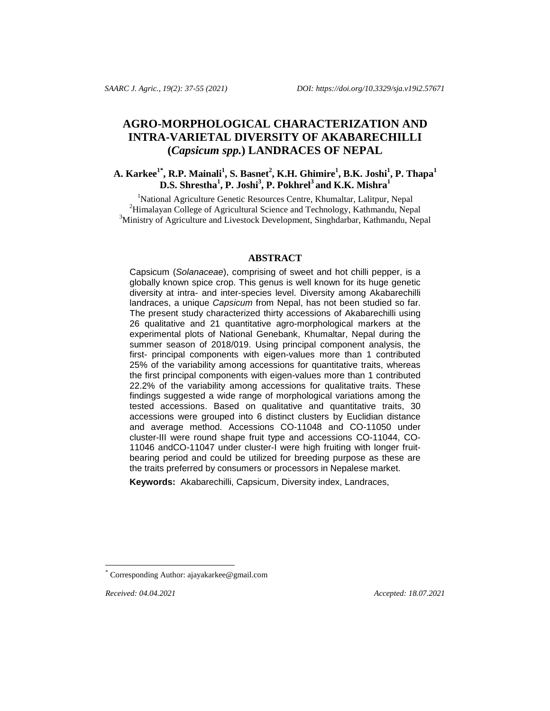# **AGRO-MORPHOLOGICAL CHARACTERIZATION AND INTRA-VARIETAL DIVERSITY OF AKABARECHILLI (***Capsicum spp.***) LANDRACES OF NEPAL**

## A. Karkee $^{1*}$ , R.P. Mainali $^{1}$ , S. Basnet $^{2}$ , K.H. Ghimire $^{1}$ , B.K. Joshi $^{1}$ , P. Thapa $^{1}$ **D.S. Shrestha<sup>1</sup> , P. Joshi<sup>3</sup> , P. Pokhrel<sup>3</sup> and K.K. Mishra<sup>1</sup>**

<sup>1</sup>National Agriculture Genetic Resources Centre, Khumaltar, Lalitpur, Nepal <sup>2</sup>Himalayan College of Agricultural Science and Technology, Kathmandu, Nepal <sup>3</sup>Ministry of Agriculture and Livestock Development, Singhdarbar, Kathmandu, Nepal

#### **ABSTRACT**

Capsicum (*Solanaceae*), comprising of sweet and hot chilli pepper, is a globally known spice crop. This genus is well known for its huge genetic diversity at intra- and inter-species level. Diversity among Akabarechilli landraces, a unique *Capsicum* from Nepal, has not been studied so far. The present study characterized thirty accessions of Akabarechilli using 26 qualitative and 21 quantitative agro-morphological markers at the experimental plots of National Genebank, Khumaltar, Nepal during the summer season of 2018/019. Using principal component analysis, the first- principal components with eigen-values more than 1 contributed 25% of the variability among accessions for quantitative traits, whereas the first principal components with eigen-values more than 1 contributed 22.2% of the variability among accessions for qualitative traits. These findings suggested a wide range of morphological variations among the tested accessions. Based on qualitative and quantitative traits, 30 accessions were grouped into 6 distinct clusters by Euclidian distance and average method. Accessions CO-11048 and CO-11050 under cluster-III were round shape fruit type and accessions CO-11044, CO-11046 andCO-11047 under cluster-I were high fruiting with longer fruitbearing period and could be utilized for breeding purpose as these are the traits preferred by consumers or processors in Nepalese market.

**Keywords:** Akabarechilli, Capsicum, Diversity index, Landraces,

l

*Received: 04.04.2021 Accepted: 18.07.2021*

Corresponding Author: [ajayakarkee@gmail.com](mailto:ajayakarkee@gmail.com)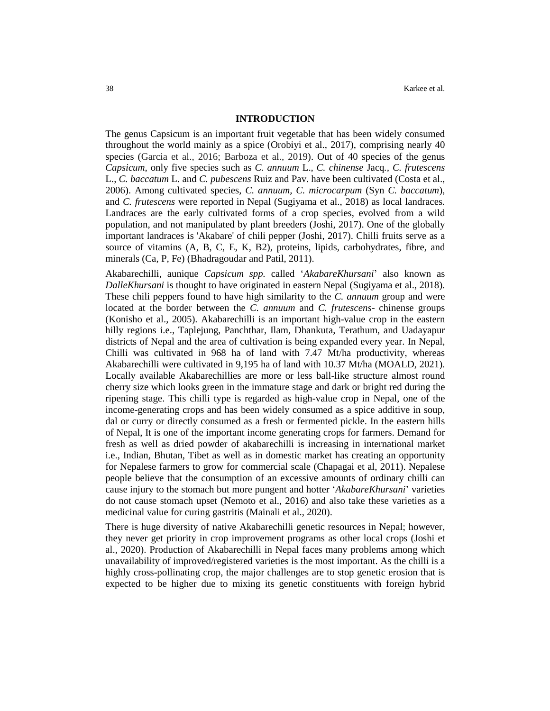#### **INTRODUCTION**

The genus Capsicum is an important fruit vegetable that has been widely consumed throughout the world mainly as a spice (Orobiyi et al., 2017), comprising nearly 40 species (Garcia et al., 2016; Barboza et al., 2019). Out of 40 species of the genus *Capsicum*, only five species such as *C. annuum* L., *C. chinense* Jacq*., C. frutescens* L., *C. baccatum* L. and *C. pubescens* Ruiz and Pav. have been cultivated (Costa et al., 2006). Among cultivated species, *C. annuum, C. microcarpum* (Syn *C. baccatum*), and *C. frutescens* were reported in Nepal (Sugiyama et al., 2018) as local landraces. Landraces are the early cultivated forms of a crop species, evolved from a wild population, and not manipulated by plant breeders (Joshi, 2017). One of the globally important landraces is 'Akabare' of chili pepper (Joshi, 2017). Chilli fruits serve as a source of vitamins (A, B, C, E, K, B2), proteins, lipids, carbohydrates, fibre, and minerals (Ca, P, Fe) (Bhadragoudar and Patil, 2011).

Akabarechilli, aunique *Capsicum spp.* called '*AkabareKhursani*' also known as *DalleKhursani* is thought to have originated in eastern Nepal (Sugiyama et al., 2018). These chili peppers found to have high similarity to the *C. annuum* group and were located at the border between the *C. annuum* and *C. frutescens*- chinense groups (Konisho et al., 2005). Akabarechilli is an important high-value crop in the eastern hilly regions i.e., Taplejung, Panchthar, Ilam, Dhankuta, Terathum, and Uadayapur districts of Nepal and the area of cultivation is being expanded every year. In Nepal, Chilli was cultivated in 968 ha of land with 7.47 Mt/ha productivity, whereas Akabarechilli were cultivated in 9,195 ha of land with 10.37 Mt/ha (MOALD, 2021). Locally available Akabarechillies are more or less ball-like structure almost round cherry size which looks green in the immature stage and dark or bright red during the ripening stage. This chilli type is regarded as high-value crop in Nepal, one of the income-generating crops and has been widely consumed as a spice additive in soup, dal or curry or directly consumed as a fresh or fermented pickle. In the eastern hills of Nepal, It is one of the important income generating crops for farmers. Demand for fresh as well as dried powder of akabarechilli is increasing in international market i.e., Indian, Bhutan, Tibet as well as in domestic market has creating an opportunity for Nepalese farmers to grow for commercial scale (Chapagai et al, 2011). Nepalese people believe that the consumption of an excessive amounts of ordinary chilli can cause injury to the stomach but more pungent and hotter '*AkabareKhursani*' varieties do not cause stomach upset (Nemoto et al., 2016) and also take these varieties as a medicinal value for curing gastritis (Mainali et al., 2020).

There is huge diversity of native Akabarechilli genetic resources in Nepal; however, they never get priority in crop improvement programs as other local crops (Joshi et al., 2020). Production of Akabarechilli in Nepal faces many problems among which unavailability of improved/registered varieties is the most important. As the chilli is a highly cross-pollinating crop, the major challenges are to stop genetic erosion that is expected to be higher due to mixing its genetic constituents with foreign hybrid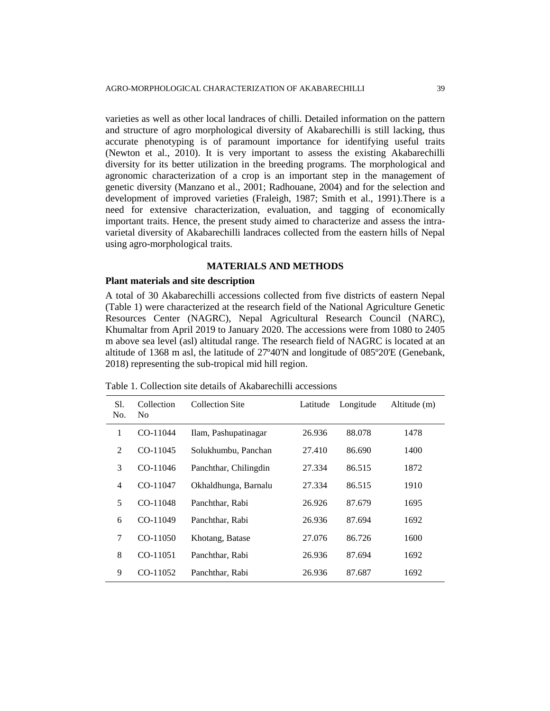varieties as well as other local landraces of chilli. Detailed information on the pattern and structure of agro morphological diversity of Akabarechilli is still lacking, thus accurate phenotyping is of paramount importance for identifying useful traits (Newton et al., 2010). It is very important to assess the existing Akabarechilli diversity for its better utilization in the breeding programs. The morphological and agronomic characterization of a crop is an important step in the management of genetic diversity (Manzano et al., 2001; Radhouane, 2004) and for the selection and development of improved varieties (Fraleigh, 1987; Smith et al., 1991).There is a need for extensive characterization, evaluation, and tagging of economically important traits. Hence, the present study aimed to characterize and assess the intravarietal diversity of Akabarechilli landraces collected from the eastern hills of Nepal using agro-morphological traits.

## **MATERIALS AND METHODS**

## **Plant materials and site description**

A total of 30 Akabarechilli accessions collected from five districts of eastern Nepal (Table 1) were characterized at the research field of the National Agriculture Genetic Resources Center (NAGRC), Nepal Agricultural Research Council (NARC), Khumaltar from April 2019 to January 2020. The accessions were from 1080 to 2405 m above sea level (asl) altitudal range. The research field of NAGRC is located at an altitude of 1368 m asl, the latitude of 27º40'N and longitude of 085º20'E (Genebank, 2018) representing the sub-tropical mid hill region.

| Table 1. Collection site details of Akabarechilli accessions |  |  |  |
|--------------------------------------------------------------|--|--|--|
|                                                              |  |  |  |

| S1.<br>No. | Collection<br>No. | <b>Collection Site</b> | Latitude | Longitude | Altitude (m) |
|------------|-------------------|------------------------|----------|-----------|--------------|
| 1          | CO-11044          | Ilam, Pashupatinagar   | 26.936   | 88.078    | 1478         |
| 2          | $CO-11045$        | Solukhumbu, Panchan    | 27.410   | 86.690    | 1400         |
| 3          | CO-11046          | Panchthar, Chilingdin  | 27.334   | 86.515    | 1872         |
| 4          | $CO-11047$        | Okhaldhunga, Barnalu   | 27.334   | 86.515    | 1910         |
| 5          | $CO-11048$        | Panchthar, Rabi        | 26.926   | 87.679    | 1695         |
| 6          | CO-11049          | Panchthar, Rabi        | 26.936   | 87.694    | 1692         |
| 7          | $CO-11050$        | Khotang, Batase        | 27.076   | 86.726    | 1600         |
| 8          | $CO-11051$        | Panchthar, Rabi        | 26.936   | 87.694    | 1692         |
| 9          | CO-11052          | Panchthar, Rabi        | 26.936   | 87.687    | 1692         |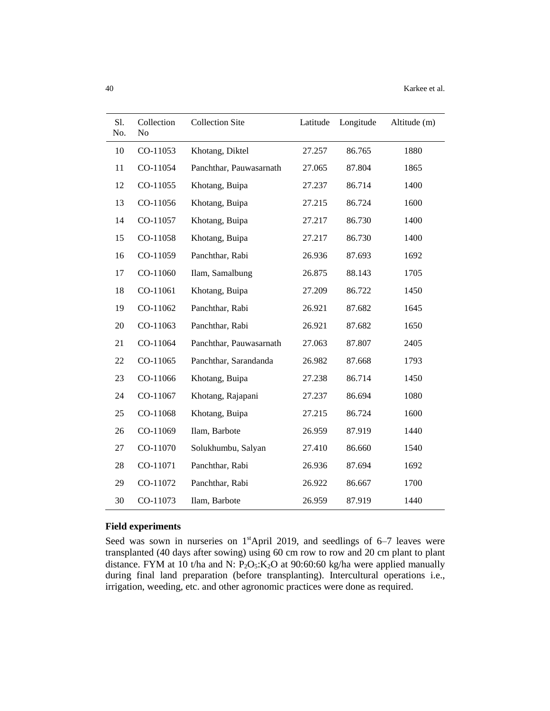| S1.<br>No. | Collection<br>No | <b>Collection Site</b>  | Latitude | Longitude | Altitude (m) |
|------------|------------------|-------------------------|----------|-----------|--------------|
| 10         | CO-11053         | Khotang, Diktel         | 27.257   | 86.765    | 1880         |
| 11         | CO-11054         | Panchthar, Pauwasarnath | 27.065   | 87.804    | 1865         |
| 12         | CO-11055         | Khotang, Buipa          | 27.237   | 86.714    | 1400         |
| 13         | CO-11056         | Khotang, Buipa          | 27.215   | 86.724    | 1600         |
| 14         | CO-11057         | Khotang, Buipa          | 27.217   | 86.730    | 1400         |
| 15         | CO-11058         | Khotang, Buipa          | 27.217   | 86.730    | 1400         |
| 16         | CO-11059         | Panchthar, Rabi         | 26.936   | 87.693    | 1692         |
| 17         | CO-11060         | Ilam, Samalbung         | 26.875   | 88.143    | 1705         |
| 18         | CO-11061         | Khotang, Buipa          | 27.209   | 86.722    | 1450         |
| 19         | CO-11062         | Panchthar, Rabi         | 26.921   | 87.682    | 1645         |
| 20         | CO-11063         | Panchthar, Rabi         | 26.921   | 87.682    | 1650         |
| 21         | CO-11064         | Panchthar, Pauwasarnath | 27.063   | 87.807    | 2405         |
| 22         | CO-11065         | Panchthar, Sarandanda   | 26.982   | 87.668    | 1793         |
| 23         | CO-11066         | Khotang, Buipa          | 27.238   | 86.714    | 1450         |
| 24         | CO-11067         | Khotang, Rajapani       | 27.237   | 86.694    | 1080         |
| 25         | CO-11068         | Khotang, Buipa          | 27.215   | 86.724    | 1600         |
| 26         | CO-11069         | Ilam, Barbote           | 26.959   | 87.919    | 1440         |
| 27         | CO-11070         | Solukhumbu, Salyan      | 27.410   | 86.660    | 1540         |
| 28         | CO-11071         | Panchthar, Rabi         | 26.936   | 87.694    | 1692         |
| 29         | CO-11072         | Panchthar, Rabi         | 26.922   | 86.667    | 1700         |
| 30         | CO-11073         | Ilam, Barbote           | 26.959   | 87.919    | 1440         |

## **Field experiments**

Seed was sown in nurseries on  $1<sup>st</sup>$ April 2019, and seedlings of 6–7 leaves were transplanted (40 days after sowing) using 60 cm row to row and 20 cm plant to plant distance. FYM at 10 t/ha and N:  $\overline{P_2O_5:K_2O}$  at 90:60:60 kg/ha were applied manually during final land preparation (before transplanting). Intercultural operations i.e., irrigation, weeding, etc. and other agronomic practices were done as required.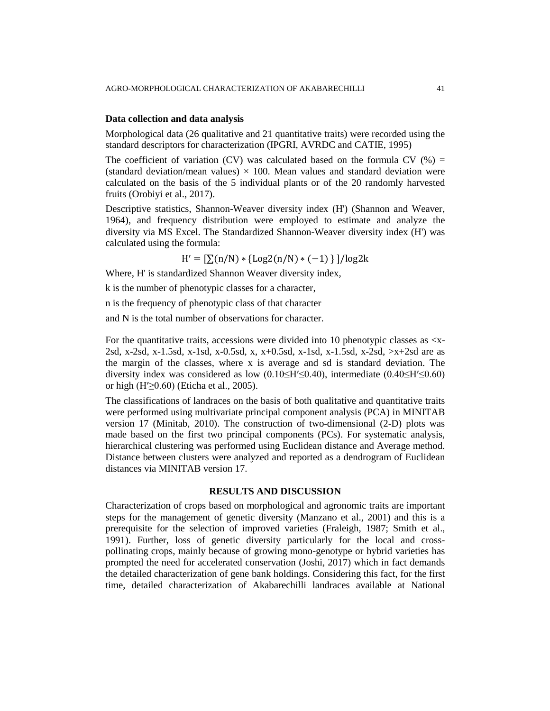#### **Data collection and data analysis**

Morphological data (26 qualitative and 21 quantitative traits) were recorded using the standard descriptors for characterization (IPGRI, AVRDC and CATIE, 1995)

The coefficient of variation (CV) was calculated based on the formula CV (%) = (standard deviation/mean values)  $\times$  100. Mean values and standard deviation were calculated on the basis of the 5 individual plants or of the 20 randomly harvested fruits (Orobiyi et al., 2017).

Descriptive statistics, Shannon-Weaver diversity index (H') (Shannon and Weaver, 1964), and frequency distribution were employed to estimate and analyze the diversity via MS Excel. The Standardized Shannon-Weaver diversity index (H') was calculated using the formula:

 $H' = [\sum(n/N) * {Log2(n/N) * (-1)}] / log2k$ 

Where, H' is standardized Shannon Weaver diversity index,

k is the number of phenotypic classes for a character,

n is the frequency of phenotypic class of that character

and N is the total number of observations for character.

For the quantitative traits, accessions were divided into 10 phenotypic classes as  $\langle x - \rangle$ 2sd, x-2sd, x-1.5sd, x-1sd, x-0.5sd, x, x+0.5sd, x-1sd, x-1.5sd, x-2sd, >x+2sd are as the margin of the classes, where x is average and sd is standard deviation. The diversity index was considered as low  $(0.10\leq H' \leq 0.40)$ , intermediate  $(0.40\leq H' \leq 0.60)$ or high  $(H \ge 0.60)$  (Eticha et al., 2005).

The classifications of landraces on the basis of both qualitative and quantitative traits were performed using multivariate principal component analysis (PCA) in MINITAB version 17 (Minitab, 2010). The construction of two-dimensional (2-D) plots was made based on the first two principal components (PCs). For systematic analysis, hierarchical clustering was performed using Euclidean distance and Average method. Distance between clusters were analyzed and reported as a dendrogram of Euclidean distances via MINITAB version 17.

#### **RESULTS AND DISCUSSION**

Characterization of crops based on morphological and agronomic traits are important steps for the management of genetic diversity (Manzano et al., 2001) and this is a prerequisite for the selection of improved varieties (Fraleigh, 1987; Smith et al., 1991). Further, loss of genetic diversity particularly for the local and crosspollinating crops, mainly because of growing mono-genotype or hybrid varieties has prompted the need for accelerated conservation (Joshi, 2017) which in fact demands the detailed characterization of gene bank holdings. Considering this fact, for the first time, detailed characterization of Akabarechilli landraces available at National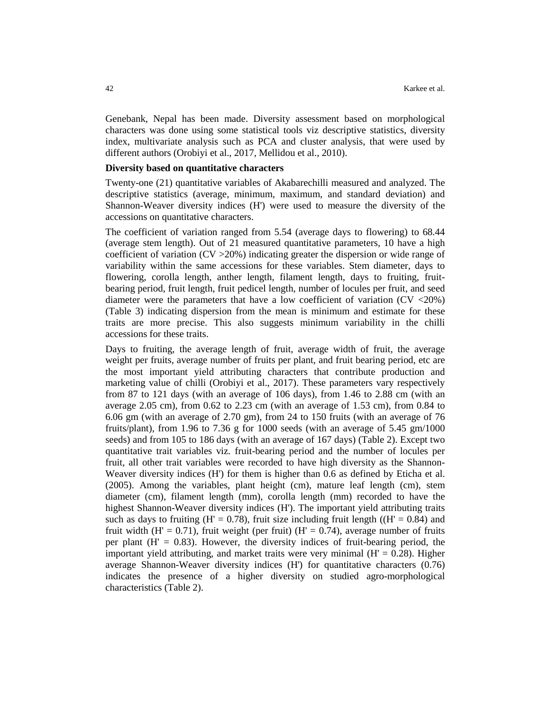Genebank, Nepal has been made. Diversity assessment based on morphological characters was done using some statistical tools viz descriptive statistics, diversity index, multivariate analysis such as PCA and cluster analysis, that were used by different authors (Orobiyi et al., 2017, Mellidou et al., 2010).

#### **Diversity based on quantitative characters**

Twenty-one (21) quantitative variables of Akabarechilli measured and analyzed. The descriptive statistics (average, minimum, maximum, and standard deviation) and Shannon-Weaver diversity indices (H') were used to measure the diversity of the accessions on quantitative characters.

The coefficient of variation ranged from 5.54 (average days to flowering) to 68.44 (average stem length). Out of 21 measured quantitative parameters, 10 have a high coefficient of variation ( $CV > 20\%$ ) indicating greater the dispersion or wide range of variability within the same accessions for these variables. Stem diameter, days to flowering, corolla length, anther length, filament length, days to fruiting, fruitbearing period, fruit length, fruit pedicel length, number of locules per fruit, and seed diameter were the parameters that have a low coefficient of variation (CV <20%) (Table 3) indicating dispersion from the mean is minimum and estimate for these traits are more precise. This also suggests minimum variability in the chilli accessions for these traits.

Days to fruiting, the average length of fruit, average width of fruit, the average weight per fruits, average number of fruits per plant, and fruit bearing period, etc are the most important yield attributing characters that contribute production and marketing value of chilli (Orobiyi et al., 2017). These parameters vary respectively from 87 to 121 days (with an average of 106 days), from 1.46 to 2.88 cm (with an average 2.05 cm), from  $0.62$  to 2.23 cm (with an average of 1.53 cm), from  $0.84$  to 6.06 gm (with an average of 2.70 gm), from 24 to 150 fruits (with an average of 76 fruits/plant), from 1.96 to 7.36 g for 1000 seeds (with an average of 5.45 gm/1000 seeds) and from 105 to 186 days (with an average of 167 days) (Table 2). Except two quantitative trait variables viz. fruit-bearing period and the number of locules per fruit, all other trait variables were recorded to have high diversity as the Shannon-Weaver diversity indices (H') for them is higher than 0.6 as defined by Eticha et al. (2005). Among the variables, plant height (cm), mature leaf length (cm), stem diameter (cm), filament length (mm), corolla length (mm) recorded to have the highest Shannon-Weaver diversity indices (H'). The important yield attributing traits such as days to fruiting (H' = 0.78), fruit size including fruit length ( $(H' = 0.84)$  and fruit width (H' = 0.71), fruit weight (per fruit) (H' = 0.74), average number of fruits per plant  $(H' = 0.83)$ . However, the diversity indices of fruit-bearing period, the important yield attributing, and market traits were very minimal  $(H' = 0.28)$ . Higher average Shannon-Weaver diversity indices (H') for quantitative characters (0.76) indicates the presence of a higher diversity on studied agro-morphological characteristics (Table 2).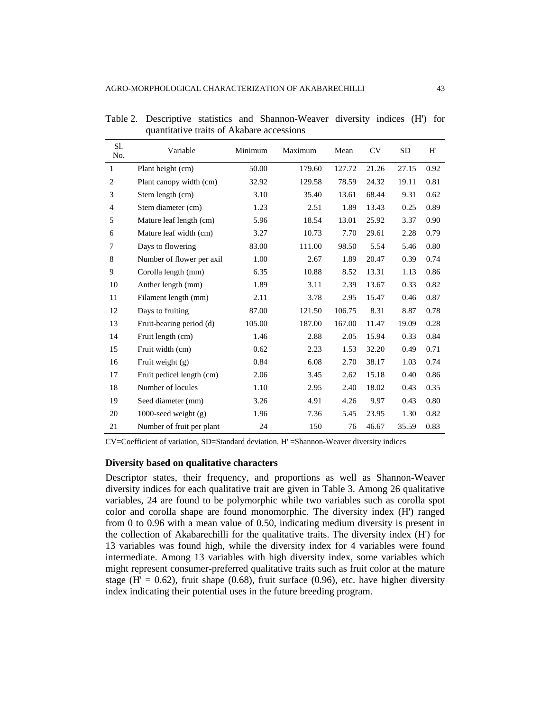| Sl.<br>No.     | Variable                  | Minimum | Maximum | Mean   | CV    | <b>SD</b> | H'   |
|----------------|---------------------------|---------|---------|--------|-------|-----------|------|
| 1              | Plant height (cm)         | 50.00   | 179.60  | 127.72 | 21.26 | 27.15     | 0.92 |
| $\overline{c}$ | Plant canopy width (cm)   | 32.92   | 129.58  | 78.59  | 24.32 | 19.11     | 0.81 |
| 3              | Stem length (cm)          | 3.10    | 35.40   | 13.61  | 68.44 | 9.31      | 0.62 |
| $\overline{4}$ | Stem diameter (cm)        | 1.23    | 2.51    | 1.89   | 13.43 | 0.25      | 0.89 |
| 5              | Mature leaf length (cm)   | 5.96    | 18.54   | 13.01  | 25.92 | 3.37      | 0.90 |
| 6              | Mature leaf width (cm)    | 3.27    | 10.73   | 7.70   | 29.61 | 2.28      | 0.79 |
| 7              | Days to flowering         | 83.00   | 111.00  | 98.50  | 5.54  | 5.46      | 0.80 |
| 8              | Number of flower per axil | 1.00    | 2.67    | 1.89   | 20.47 | 0.39      | 0.74 |
| 9              | Corolla length (mm)       | 6.35    | 10.88   | 8.52   | 13.31 | 1.13      | 0.86 |
| 10             | Anther length (mm)        | 1.89    | 3.11    | 2.39   | 13.67 | 0.33      | 0.82 |
| 11             | Filament length (mm)      | 2.11    | 3.78    | 2.95   | 15.47 | 0.46      | 0.87 |
| 12             | Days to fruiting          | 87.00   | 121.50  | 106.75 | 8.31  | 8.87      | 0.78 |
| 13             | Fruit-bearing period (d)  | 105.00  | 187.00  | 167.00 | 11.47 | 19.09     | 0.28 |
| 14             | Fruit length (cm)         | 1.46    | 2.88    | 2.05   | 15.94 | 0.33      | 0.84 |
| 15             | Fruit width (cm)          | 0.62    | 2.23    | 1.53   | 32.20 | 0.49      | 0.71 |
| 16             | Fruit weight $(g)$        | 0.84    | 6.08    | 2.70   | 38.17 | 1.03      | 0.74 |
| 17             | Fruit pedicel length (cm) | 2.06    | 3.45    | 2.62   | 15.18 | 0.40      | 0.86 |
| 18             | Number of locules         | 1.10    | 2.95    | 2.40   | 18.02 | 0.43      | 0.35 |
| 19             | Seed diameter (mm)        | 3.26    | 4.91    | 4.26   | 9.97  | 0.43      | 0.80 |
| 20             | 1000-seed weight $(g)$    | 1.96    | 7.36    | 5.45   | 23.95 | 1.30      | 0.82 |
| 21             | Number of fruit per plant | 24      | 150     | 76     | 46.67 | 35.59     | 0.83 |

Table 2. Descriptive statistics and Shannon-Weaver diversity indices (H') for quantitative traits of Akabare accessions

CV=Coefficient of variation, SD=Standard deviation, H' =Shannon-Weaver diversity indices

#### **Diversity based on qualitative characters**

Descriptor states, their frequency, and proportions as well as Shannon-Weaver diversity indices for each qualitative trait are given in Table 3. Among 26 qualitative variables, 24 are found to be polymorphic while two variables such as corolla spot color and corolla shape are found monomorphic. The diversity index (H') ranged from 0 to 0.96 with a mean value of 0.50, indicating medium diversity is present in the collection of Akabarechilli for the qualitative traits. The diversity index (H') for 13 variables was found high, while the diversity index for 4 variables were found intermediate. Among 13 variables with high diversity index, some variables which might represent consumer-preferred qualitative traits such as fruit color at the mature stage (H' =  $0.62$ ), fruit shape (0.68), fruit surface (0.96), etc. have higher diversity index indicating their potential uses in the future breeding program.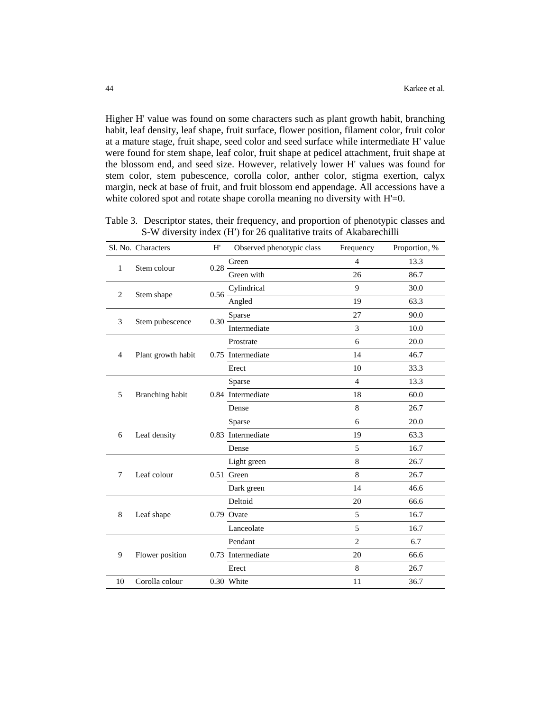Higher H' value was found on some characters such as plant growth habit, branching habit, leaf density, leaf shape, fruit surface, flower position, filament color, fruit color at a mature stage, fruit shape, seed color and seed surface while intermediate H' value were found for stem shape, leaf color, fruit shape at pedicel attachment, fruit shape at the blossom end, and seed size. However, relatively lower H' values was found for stem color, stem pubescence, corolla color, anther color, stigma exertion, calyx margin, neck at base of fruit, and fruit blossom end appendage. All accessions have a white colored spot and rotate shape corolla meaning no diversity with H'=0.

Table 3. Descriptor states, their frequency, and proportion of phenotypic classes and S-W diversity index (H') for 26 qualitative traits of Akabarechilli

|                | Sl. No. Characters | H'       | Observed phenotypic class | Frequency      | Proportion, % |
|----------------|--------------------|----------|---------------------------|----------------|---------------|
|                |                    |          | Green                     | $\overline{4}$ | 13.3          |
| 1              | Stem colour        | $0.28 -$ | Green with                | 26             | 86.7          |
|                |                    | 0.56     | Cylindrical               | 9              | 30.0          |
| 2              | Stem shape         |          | Angled                    | 19             | 63.3          |
|                |                    |          | Sparse                    | 27             | 90.0          |
| 3              | Stem pubescence    | $0.30 -$ | Intermediate              | 3              | 10.0          |
|                |                    |          | Prostrate                 | 6              | 20.0          |
| $\overline{4}$ | Plant growth habit |          | 0.75 Intermediate         | 14             | 46.7          |
|                |                    |          | Erect                     | 10             | 33.3          |
|                |                    |          | Sparse                    | $\overline{4}$ | 13.3          |
| 5              | Branching habit    |          | 0.84 Intermediate         | 18             | 60.0          |
|                |                    |          | Dense                     | 8              | 26.7          |
|                |                    |          | Sparse                    | 6              | 20.0          |
| 6              | Leaf density       |          | 0.83 Intermediate         | 19             | 63.3          |
|                |                    |          | Dense                     | 5              | 16.7          |
|                |                    |          | Light green               | 8              | 26.7          |
| $\tau$         | Leaf colour        |          | 0.51 Green                | 8              | 26.7          |
|                |                    |          | Dark green                | 14             | 46.6          |
|                |                    |          | Deltoid                   | 20             | 66.6          |
| 8              | Leaf shape         |          | 0.79 Ovate                | 5              | 16.7          |
|                |                    |          | Lanceolate                | 5              | 16.7          |
|                |                    |          | Pendant                   | $\overline{2}$ | 6.7           |
| 9              | Flower position    |          | 0.73 Intermediate         | 20             | 66.6          |
|                |                    |          | Erect                     | 8              | 26.7          |
| 10             | Corolla colour     |          | 0.30 White                | 11             | 36.7          |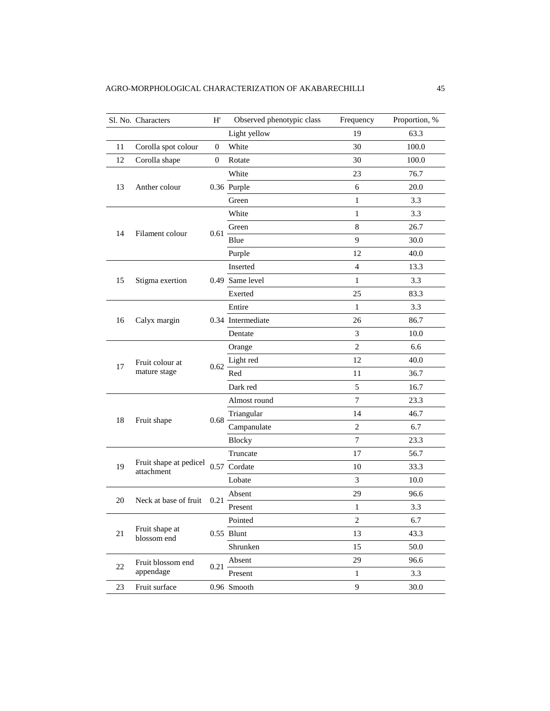|    | Sl. No. Characters                   | H'           | Observed phenotypic class                                                                                                                                                                                                                                                                                                                                                                                                                                                                                                                                                                                                                                                        | Frequency    | Proportion, % |
|----|--------------------------------------|--------------|----------------------------------------------------------------------------------------------------------------------------------------------------------------------------------------------------------------------------------------------------------------------------------------------------------------------------------------------------------------------------------------------------------------------------------------------------------------------------------------------------------------------------------------------------------------------------------------------------------------------------------------------------------------------------------|--------------|---------------|
|    |                                      |              | Light yellow                                                                                                                                                                                                                                                                                                                                                                                                                                                                                                                                                                                                                                                                     | 19           | 63.3          |
| 11 | Corolla spot colour                  | 0            | White                                                                                                                                                                                                                                                                                                                                                                                                                                                                                                                                                                                                                                                                            | 30           | 100.0         |
| 12 | Corolla shape                        | $\mathbf{0}$ | Rotate                                                                                                                                                                                                                                                                                                                                                                                                                                                                                                                                                                                                                                                                           | 30           | 100.0         |
|    |                                      |              | White                                                                                                                                                                                                                                                                                                                                                                                                                                                                                                                                                                                                                                                                            | 23           | 76.7          |
| 13 | Anther colour                        |              |                                                                                                                                                                                                                                                                                                                                                                                                                                                                                                                                                                                                                                                                                  | 6            | 20.0          |
|    |                                      |              | 0.36 Purple<br>1<br>Green<br>$\mathbf{1}$<br>White<br>8<br>Green<br>$0.61 -$<br>9<br>Blue<br>12<br>Purple<br>Inserted<br>$\overline{4}$<br>0.49 Same level<br>$\mathbf{1}$<br>25<br>Exerted<br>Entire<br>$\mathbf{1}$<br>0.34 Intermediate<br>26<br>3<br>Dentate<br>$\overline{2}$<br>Orange<br>12<br>Light red<br>0.62<br>Red<br>11<br>Dark red<br>5<br>$\overline{7}$<br>Almost round<br>Triangular<br>14<br>0.68<br>Campanulate<br>$\overline{2}$<br>$\overline{7}$<br><b>Blocky</b><br>17<br>Truncate<br>0.57 Cordate<br>10<br>3<br>Lobate<br>29<br>Absent<br>0.21<br>$\mathbf{1}$<br>Present<br>Pointed<br>$\sqrt{2}$<br>0.55 Blunt<br>13<br>Shrunken<br>15<br>29<br>Absent | 3.3          |               |
|    |                                      |              |                                                                                                                                                                                                                                                                                                                                                                                                                                                                                                                                                                                                                                                                                  |              | 3.3           |
|    |                                      |              |                                                                                                                                                                                                                                                                                                                                                                                                                                                                                                                                                                                                                                                                                  |              | 26.7          |
| 14 | Filament colour                      |              |                                                                                                                                                                                                                                                                                                                                                                                                                                                                                                                                                                                                                                                                                  |              | 30.0          |
|    |                                      |              |                                                                                                                                                                                                                                                                                                                                                                                                                                                                                                                                                                                                                                                                                  |              | 40.0          |
|    |                                      |              |                                                                                                                                                                                                                                                                                                                                                                                                                                                                                                                                                                                                                                                                                  |              | 13.3          |
| 15 | Stigma exertion                      |              |                                                                                                                                                                                                                                                                                                                                                                                                                                                                                                                                                                                                                                                                                  |              | 3.3           |
|    |                                      |              |                                                                                                                                                                                                                                                                                                                                                                                                                                                                                                                                                                                                                                                                                  |              | 83.3          |
|    |                                      |              |                                                                                                                                                                                                                                                                                                                                                                                                                                                                                                                                                                                                                                                                                  |              | 3.3           |
| 16 | Calyx margin                         |              |                                                                                                                                                                                                                                                                                                                                                                                                                                                                                                                                                                                                                                                                                  |              | 86.7          |
|    |                                      |              |                                                                                                                                                                                                                                                                                                                                                                                                                                                                                                                                                                                                                                                                                  |              | 10.0          |
|    |                                      |              |                                                                                                                                                                                                                                                                                                                                                                                                                                                                                                                                                                                                                                                                                  |              | 6.6           |
|    | Fruit colour at                      |              |                                                                                                                                                                                                                                                                                                                                                                                                                                                                                                                                                                                                                                                                                  |              | 40.0          |
| 17 | mature stage                         |              |                                                                                                                                                                                                                                                                                                                                                                                                                                                                                                                                                                                                                                                                                  |              | 36.7          |
|    |                                      |              |                                                                                                                                                                                                                                                                                                                                                                                                                                                                                                                                                                                                                                                                                  |              | 16.7          |
|    |                                      |              |                                                                                                                                                                                                                                                                                                                                                                                                                                                                                                                                                                                                                                                                                  |              | 23.3          |
|    |                                      |              |                                                                                                                                                                                                                                                                                                                                                                                                                                                                                                                                                                                                                                                                                  |              | 46.7          |
| 18 | Fruit shape                          |              |                                                                                                                                                                                                                                                                                                                                                                                                                                                                                                                                                                                                                                                                                  |              | 6.7           |
|    |                                      |              |                                                                                                                                                                                                                                                                                                                                                                                                                                                                                                                                                                                                                                                                                  |              | 23.3          |
|    |                                      |              |                                                                                                                                                                                                                                                                                                                                                                                                                                                                                                                                                                                                                                                                                  |              | 56.7          |
| 19 | Fruit shape at pedicel<br>attachment |              |                                                                                                                                                                                                                                                                                                                                                                                                                                                                                                                                                                                                                                                                                  |              | 33.3          |
|    |                                      |              |                                                                                                                                                                                                                                                                                                                                                                                                                                                                                                                                                                                                                                                                                  |              | 10.0          |
|    |                                      |              |                                                                                                                                                                                                                                                                                                                                                                                                                                                                                                                                                                                                                                                                                  |              | 96.6          |
| 20 | Neck at base of fruit                |              |                                                                                                                                                                                                                                                                                                                                                                                                                                                                                                                                                                                                                                                                                  |              | 3.3           |
|    |                                      |              |                                                                                                                                                                                                                                                                                                                                                                                                                                                                                                                                                                                                                                                                                  |              | 6.7           |
| 21 | Fruit shape at<br>blossom end        |              |                                                                                                                                                                                                                                                                                                                                                                                                                                                                                                                                                                                                                                                                                  |              | 43.3          |
|    |                                      |              |                                                                                                                                                                                                                                                                                                                                                                                                                                                                                                                                                                                                                                                                                  |              | 50.0          |
|    | Fruit blossom end                    |              |                                                                                                                                                                                                                                                                                                                                                                                                                                                                                                                                                                                                                                                                                  |              | 96.6          |
| 22 | appendage                            | 0.21         | Present                                                                                                                                                                                                                                                                                                                                                                                                                                                                                                                                                                                                                                                                          | $\mathbf{1}$ | 3.3           |
| 23 | Fruit surface                        |              | $0.96$ Smooth                                                                                                                                                                                                                                                                                                                                                                                                                                                                                                                                                                                                                                                                    | 9            | 30.0          |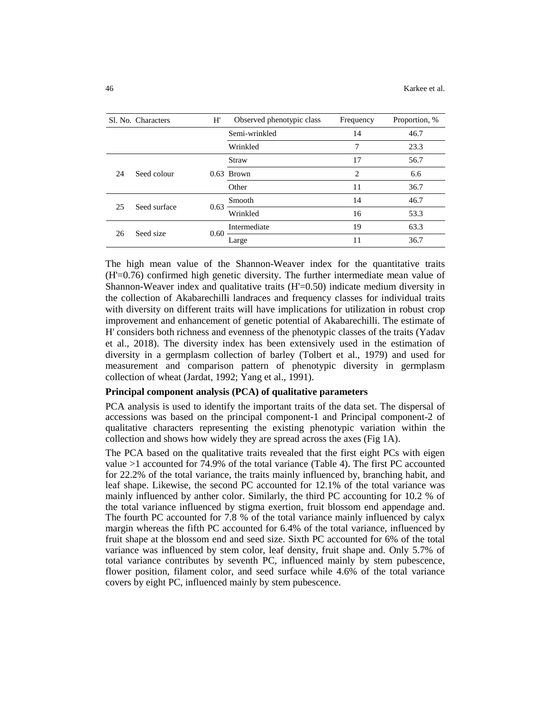|    | Sl. No. Characters | H'                                                                                                           | Observed phenotypic class | Frequency      | Proportion, % |
|----|--------------------|--------------------------------------------------------------------------------------------------------------|---------------------------|----------------|---------------|
|    |                    |                                                                                                              | Semi-wrinkled             | 14             | 46.7          |
|    |                    |                                                                                                              | Wrinkled                  | 7              | 23.3          |
|    | Seed colour        | <b>Straw</b><br><b>Brown</b><br>0.63<br>Other<br>Smooth<br>0.63<br>Wrinkled<br>Intermediate<br>0.60<br>Large |                           | 17             | 56.7          |
| 24 |                    |                                                                                                              |                           | $\overline{c}$ | 6.6           |
|    |                    |                                                                                                              |                           | 11             | 36.7          |
| 25 | Seed surface       |                                                                                                              |                           | 14             | 46.7          |
|    |                    |                                                                                                              |                           | 16             | 53.3          |
| 26 | Seed size          |                                                                                                              |                           | 19             | 63.3          |
|    |                    |                                                                                                              |                           | 11             | 36.7          |

The high mean value of the Shannon-Weaver index for the quantitative traits (H'=0.76) confirmed high genetic diversity. The further intermediate mean value of Shannon-Weaver index and qualitative traits (H'=0.50) indicate medium diversity in the collection of Akabarechilli landraces and frequency classes for individual traits with diversity on different traits will have implications for utilization in robust crop improvement and enhancement of genetic potential of Akabarechilli. The estimate of H' considers both richness and evenness of the phenotypic classes of the traits (Yadav et al., 2018). The diversity index has been extensively used in the estimation of diversity in a germplasm collection of barley (Tolbert et al., 1979) and used for measurement and comparison pattern of phenotypic diversity in germplasm collection of wheat (Jardat, 1992; Yang et al., 1991).

## **Principal component analysis (PCA) of qualitative parameters**

PCA analysis is used to identify the important traits of the data set. The dispersal of accessions was based on the principal component-1 and Principal component-2 of qualitative characters representing the existing phenotypic variation within the collection and shows how widely they are spread across the axes (Fig 1A).

The PCA based on the qualitative traits revealed that the first eight PCs with eigen value >1 accounted for 74.9% of the total variance (Table 4). The first PC accounted for 22.2% of the total variance, the traits mainly influenced by, branching habit, and leaf shape. Likewise, the second PC accounted for 12.1% of the total variance was mainly influenced by anther color. Similarly, the third PC accounting for 10.2 % of the total variance influenced by stigma exertion, fruit blossom end appendage and. The fourth PC accounted for 7.8 % of the total variance mainly influenced by calyx margin whereas the fifth PC accounted for 6.4% of the total variance, influenced by fruit shape at the blossom end and seed size. Sixth PC accounted for 6% of the total variance was influenced by stem color, leaf density, fruit shape and. Only 5.7% of total variance contributes by seventh PC, influenced mainly by stem pubescence, flower position, filament color, and seed surface while 4.6% of the total variance covers by eight PC, influenced mainly by stem pubescence.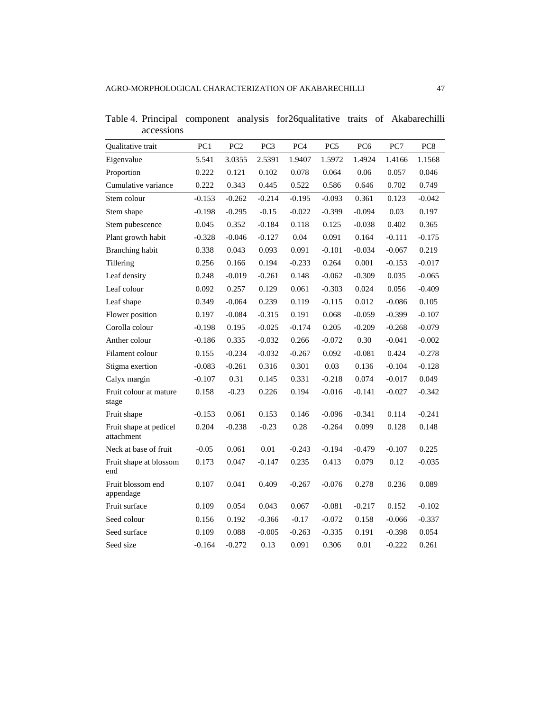| Qualitative trait                    | PC1      | PC <sub>2</sub> | PC <sub>3</sub> | PC <sub>4</sub> | PC <sub>5</sub> | PC <sub>6</sub> | PC7      | PC <sub>8</sub> |
|--------------------------------------|----------|-----------------|-----------------|-----------------|-----------------|-----------------|----------|-----------------|
| Eigenvalue                           | 5.541    | 3.0355          | 2.5391          | 1.9407          | 1.5972          | 1.4924          | 1.4166   | 1.1568          |
| Proportion                           | 0.222    | 0.121           | 0.102           | 0.078           | 0.064           | 0.06            | 0.057    | 0.046           |
| Cumulative variance                  | 0.222    | 0.343           | 0.445           | 0.522           | 0.586           | 0.646           | 0.702    | 0.749           |
| Stem colour                          | $-0.153$ | $-0.262$        | $-0.214$        | $-0.195$        | $-0.093$        | 0.361           | 0.123    | $-0.042$        |
| Stem shape                           | $-0.198$ | $-0.295$        | $-0.15$         | $-0.022$        | $-0.399$        | $-0.094$        | 0.03     | 0.197           |
| Stem pubescence                      | 0.045    | 0.352           | $-0.184$        | 0.118           | 0.125           | $-0.038$        | 0.402    | 0.365           |
| Plant growth habit                   | $-0.328$ | $-0.046$        | $-0.127$        | 0.04            | 0.091           | 0.164           | $-0.111$ | $-0.175$        |
| Branching habit                      | 0.338    | 0.043           | 0.093           | 0.091           | $-0.101$        | $-0.034$        | $-0.067$ | 0.219           |
| Tillering                            | 0.256    | 0.166           | 0.194           | $-0.233$        | 0.264           | 0.001           | $-0.153$ | $-0.017$        |
| Leaf density                         | 0.248    | $-0.019$        | $-0.261$        | 0.148           | $-0.062$        | $-0.309$        | 0.035    | $-0.065$        |
| Leaf colour                          | 0.092    | 0.257           | 0.129           | 0.061           | $-0.303$        | 0.024           | 0.056    | $-0.409$        |
| Leaf shape                           | 0.349    | $-0.064$        | 0.239           | 0.119           | $-0.115$        | 0.012           | $-0.086$ | 0.105           |
| Flower position                      | 0.197    | $-0.084$        | $-0.315$        | 0.191           | 0.068           | $-0.059$        | $-0.399$ | $-0.107$        |
| Corolla colour                       | $-0.198$ | 0.195           | $-0.025$        | $-0.174$        | 0.205           | $-0.209$        | $-0.268$ | $-0.079$        |
| Anther colour                        | $-0.186$ | 0.335           | $-0.032$        | 0.266           | $-0.072$        | 0.30            | $-0.041$ | $-0.002$        |
| Filament colour                      | 0.155    | $-0.234$        | $-0.032$        | $-0.267$        | 0.092           | $-0.081$        | 0.424    | $-0.278$        |
| Stigma exertion                      | $-0.083$ | $-0.261$        | 0.316           | 0.301           | 0.03            | 0.136           | $-0.104$ | $-0.128$        |
| Calyx margin                         | $-0.107$ | 0.31            | 0.145           | 0.331           | $-0.218$        | 0.074           | $-0.017$ | 0.049           |
| Fruit colour at mature<br>stage      | 0.158    | $-0.23$         | 0.226           | 0.194           | $-0.016$        | $-0.141$        | $-0.027$ | $-0.342$        |
| Fruit shape                          | $-0.153$ | 0.061           | 0.153           | 0.146           | $-0.096$        | $-0.341$        | 0.114    | $-0.241$        |
| Fruit shape at pedicel<br>attachment | 0.204    | $-0.238$        | $-0.23$         | 0.28            | $-0.264$        | 0.099           | 0.128    | 0.148           |
| Neck at base of fruit                | $-0.05$  | 0.061           | 0.01            | $-0.243$        | $-0.194$        | $-0.479$        | $-0.107$ | 0.225           |
| Fruit shape at blossom<br>end        | 0.173    | 0.047           | $-0.147$        | 0.235           | 0.413           | 0.079           | 0.12     | $-0.035$        |
| Fruit blossom end<br>appendage       | 0.107    | 0.041           | 0.409           | $-0.267$        | $-0.076$        | 0.278           | 0.236    | 0.089           |
| Fruit surface                        | 0.109    | 0.054           | 0.043           | 0.067           | $-0.081$        | $-0.217$        | 0.152    | $-0.102$        |
| Seed colour                          | 0.156    | 0.192           | $-0.366$        | $-0.17$         | $-0.072$        | 0.158           | $-0.066$ | $-0.337$        |
| Seed surface                         | 0.109    | 0.088           | $-0.005$        | $-0.263$        | $-0.335$        | 0.191           | $-0.398$ | 0.054           |
| Seed size                            | $-0.164$ | $-0.272$        | 0.13            | 0.091           | 0.306           | 0.01            | $-0.222$ | 0.261           |

Table 4. Principal component analysis for26qualitative traits of Akabarechilli accessions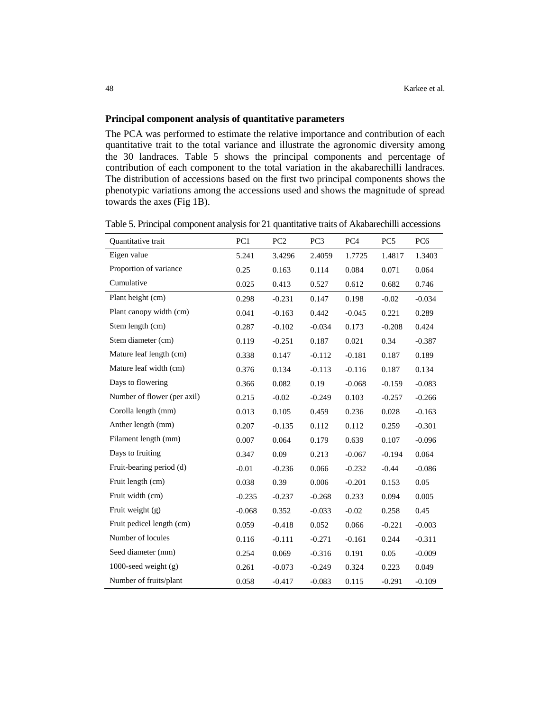#### **Principal component analysis of quantitative parameters**

The PCA was performed to estimate the relative importance and contribution of each quantitative trait to the total variance and illustrate the agronomic diversity among the 30 landraces. Table 5 shows the principal components and percentage of contribution of each component to the total variation in the akabarechilli landraces. The distribution of accessions based on the first two principal components shows the phenotypic variations among the accessions used and shows the magnitude of spread towards the axes (Fig 1B).

| <b>Ouantitative</b> trait   | PC1      | PC <sub>2</sub> | PC <sub>3</sub> | PC <sub>4</sub> | PC <sub>5</sub> | PC <sub>6</sub> |
|-----------------------------|----------|-----------------|-----------------|-----------------|-----------------|-----------------|
| Eigen value                 | 5.241    | 3.4296          | 2.4059          | 1.7725          | 1.4817          | 1.3403          |
| Proportion of variance      | 0.25     | 0.163           | 0.114           | 0.084           | 0.071           | 0.064           |
| Cumulative                  | 0.025    | 0.413           | 0.527           | 0.612           | 0.682           | 0.746           |
| Plant height (cm)           | 0.298    | $-0.231$        | 0.147           | 0.198           | $-0.02$         | $-0.034$        |
| Plant canopy width (cm)     | 0.041    | $-0.163$        | 0.442           | $-0.045$        | 0.221           | 0.289           |
| Stem length (cm)            | 0.287    | $-0.102$        | $-0.034$        | 0.173           | $-0.208$        | 0.424           |
| Stem diameter (cm)          | 0.119    | $-0.251$        | 0.187           | 0.021           | 0.34            | $-0.387$        |
| Mature leaf length (cm)     | 0.338    | 0.147           | $-0.112$        | $-0.181$        | 0.187           | 0.189           |
| Mature leaf width (cm)      | 0.376    | 0.134           | $-0.113$        | $-0.116$        | 0.187           | 0.134           |
| Days to flowering           | 0.366    | 0.082           | 0.19            | $-0.068$        | $-0.159$        | $-0.083$        |
| Number of flower (per axil) | 0.215    | $-0.02$         | $-0.249$        | 0.103           | $-0.257$        | $-0.266$        |
| Corolla length (mm)         | 0.013    | 0.105           | 0.459           | 0.236           | 0.028           | $-0.163$        |
| Anther length (mm)          | 0.207    | $-0.135$        | 0.112           | 0.112           | 0.259           | $-0.301$        |
| Filament length (mm)        | 0.007    | 0.064           | 0.179           | 0.639           | 0.107           | $-0.096$        |
| Days to fruiting            | 0.347    | 0.09            | 0.213           | $-0.067$        | $-0.194$        | 0.064           |
| Fruit-bearing period (d)    | $-0.01$  | $-0.236$        | 0.066           | $-0.232$        | $-0.44$         | $-0.086$        |
| Fruit length (cm)           | 0.038    | 0.39            | 0.006           | $-0.201$        | 0.153           | 0.05            |
| Fruit width (cm)            | $-0.235$ | $-0.237$        | $-0.268$        | 0.233           | 0.094           | 0.005           |
| Fruit weight $(g)$          | $-0.068$ | 0.352           | $-0.033$        | $-0.02$         | 0.258           | 0.45            |
| Fruit pedicel length (cm)   | 0.059    | $-0.418$        | 0.052           | 0.066           | $-0.221$        | $-0.003$        |
| Number of locules           | 0.116    | $-0.111$        | $-0.271$        | $-0.161$        | 0.244           | $-0.311$        |
| Seed diameter (mm)          | 0.254    | 0.069           | $-0.316$        | 0.191           | 0.05            | $-0.009$        |
| 1000-seed weight $(g)$      | 0.261    | $-0.073$        | $-0.249$        | 0.324           | 0.223           | 0.049           |
| Number of fruits/plant      | 0.058    | $-0.417$        | $-0.083$        | 0.115           | $-0.291$        | $-0.109$        |

Table 5. Principal component analysis for 21 quantitative traits of Akabarechilli accessions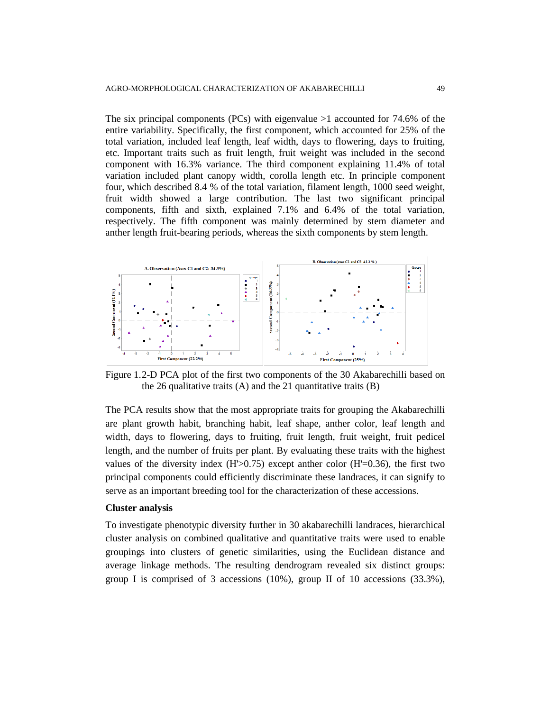The six principal components (PCs) with eigenvalue  $>1$  accounted for 74.6% of the entire variability. Specifically, the first component, which accounted for 25% of the total variation, included leaf length, leaf width, days to flowering, days to fruiting, etc. Important traits such as fruit length, fruit weight was included in the second component with 16.3% variance. The third component explaining 11.4% of total variation included plant canopy width, corolla length etc. In principle component four, which described 8.4 % of the total variation, filament length, 1000 seed weight, fruit width showed a large contribution. The last two significant principal components, fifth and sixth, explained 7.1% and 6.4% of the total variation, respectively. The fifth component was mainly determined by stem diameter and anther length fruit-bearing periods, whereas the sixth components by stem length.



Figure 1.2-D PCA plot of the first two components of the 30 Akabarechilli based on the 26 qualitative traits  $(A)$  and the 21 quantitative traits  $(B)$ 

The PCA results show that the most appropriate traits for grouping the Akabarechilli are plant growth habit, branching habit, leaf shape, anther color, leaf length and width, days to flowering, days to fruiting, fruit length, fruit weight, fruit pedicel length, and the number of fruits per plant. By evaluating these traits with the highest values of the diversity index  $(H>0.75)$  except anther color  $(H=0.36)$ , the first two principal components could efficiently discriminate these landraces, it can signify to serve as an important breeding tool for the characterization of these accessions.

#### **Cluster analysis**

To investigate phenotypic diversity further in 30 akabarechilli landraces, hierarchical cluster analysis on combined qualitative and quantitative traits were used to enable groupings into clusters of genetic similarities, using the Euclidean distance and average linkage methods. The resulting dendrogram revealed six distinct groups: group I is comprised of 3 accessions  $(10\%)$ , group II of 10 accessions  $(33.3\%)$ ,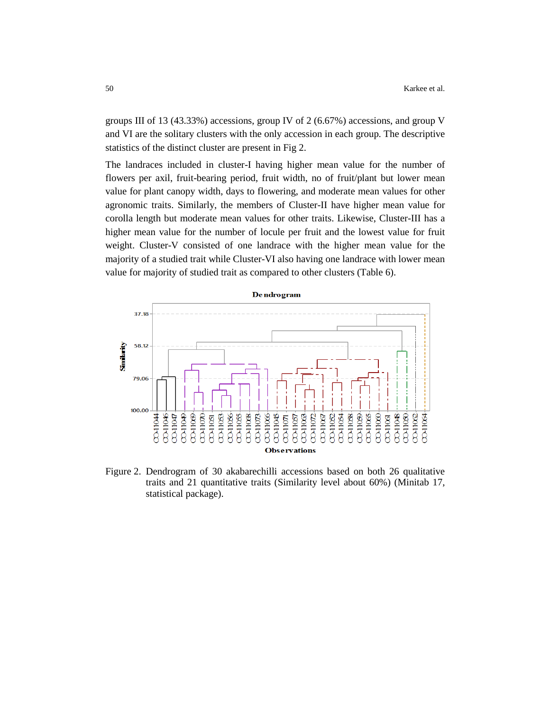groups III of 13 (43.33%) accessions, group IV of 2 (6.67%) accessions, and group V and VI are the solitary clusters with the only accession in each group. The descriptive statistics of the distinct cluster are present in Fig 2.

The landraces included in cluster-I having higher mean value for the number of flowers per axil, fruit-bearing period, fruit width, no of fruit/plant but lower mean value for plant canopy width, days to flowering, and moderate mean values for other agronomic traits. Similarly, the members of Cluster-II have higher mean value for corolla length but moderate mean values for other traits. Likewise, Cluster-III has a higher mean value for the number of locule per fruit and the lowest value for fruit weight. Cluster-V consisted of one landrace with the higher mean value for the majority of a studied trait while Cluster-VI also having one landrace with lower mean value for majority of studied trait as compared to other clusters (Table 6).



Figure 2. Dendrogram of 30 akabarechilli accessions based on both 26 qualitative traits and 21 quantitative traits (Similarity level about 60%) (Minitab 17, statistical package).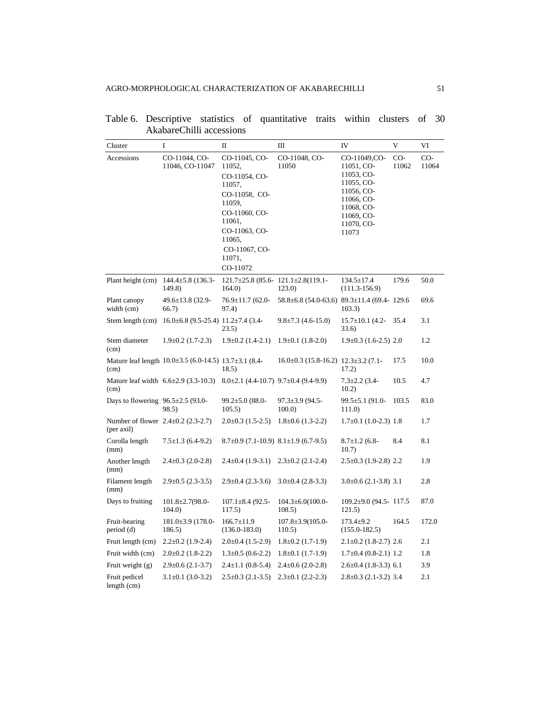| Cluster                                                | I                                                                 | $\mathbf{I}$                                                                                                                                                               | Ш                                                       | IV                                                                                                                                    | V              | VI             |
|--------------------------------------------------------|-------------------------------------------------------------------|----------------------------------------------------------------------------------------------------------------------------------------------------------------------------|---------------------------------------------------------|---------------------------------------------------------------------------------------------------------------------------------------|----------------|----------------|
| Accessions                                             | CO-11044, CO-<br>11046, CO-11047                                  | CO-11045, CO-<br>11052,<br>CO-11054, CO-<br>11057,<br>CO-11058, CO-<br>11059,<br>CO-11060, CO-<br>11061,<br>CO-11063, CO-<br>11065,<br>CO-11067, CO-<br>11071,<br>CO-11072 | CO-11048, CO-<br>11050                                  | CO-11049,CO-<br>11051, CO-<br>11053, CO-<br>11055, CO-<br>11056, CO-<br>11066, CO-<br>11068, CO-<br>11069, CO-<br>11070, CO-<br>11073 | $CO-$<br>11062 | $CO-$<br>11064 |
| Plant height (cm)                                      | $144.4 \pm 5.8$ (136.3-<br>149.8)                                 | $121.7\pm25.8$ (85.6-121.1 $\pm2.8$ (119.1-<br>164.0                                                                                                                       | 123.0)                                                  | $134.5 \pm 17.4$<br>$(111.3-156.9)$                                                                                                   | 179.6          | 50.0           |
| Plant canopy<br>width (cm)                             | 49.6±13.8 (32.9-<br>66.7)                                         | 76.9±11.7 (62.0-<br>97.4)                                                                                                                                                  | $58.8 \pm 6.8$ (54.0-63.6) $89.3 \pm 11.4$ (69.4- 129.6 | 103.3)                                                                                                                                |                | 69.6           |
| Stem length (cm)                                       | $16.0\pm6.8$ (9.5-25.4) $11.2\pm7.4$ (3.4-                        | 23.5)                                                                                                                                                                      | $9.8 \pm 7.3$ (4.6-15.0)                                | $15.7 \pm 10.1$ (4.2-<br>33.6)                                                                                                        | 35.4           | 3.1            |
| Stem diameter<br>(cm)                                  | $1.9\pm0.2$ (1.7-2.3)                                             | $1.9\pm0.2$ (1.4-2.1)                                                                                                                                                      | $1.9\pm0.1$ (1.8-2.0)                                   | $1.9\pm0.3$ (1.6-2.5) 2.0                                                                                                             |                | 1.2            |
| (cm)                                                   | Mature leaf length $10.0 \pm 3.5$ (6.0-14.5) $13.7 \pm 3.1$ (8.4- | 18.5)                                                                                                                                                                      | $16.0\pm0.3$ (15.8-16.2) $12.3\pm3.2$ (7.1-             | 17.2)                                                                                                                                 | 17.5           | 10.0           |
| (cm)                                                   | Mature leaf width $6.6 \pm 2.9$ (3.3-10.3)                        | $8.0\pm2.1$ (4.4-10.7) $9.7\pm0.4$ (9.4-9.9)                                                                                                                               |                                                         | $7.3 \pm 2.2$ (3.4-<br>10.2)                                                                                                          | 10.5           | 4.7            |
| Days to flowering $96.5 \pm 2.5$ (93.0-                | 98.5)                                                             | $99.2 \pm 5.0$ (88.0-<br>105.5)                                                                                                                                            | $97.3 \pm 3.9$ (94.5-<br>100.0                          | 99.5±5.1 (91.0-<br>111.0                                                                                                              | 103.5          | 83.0           |
| Number of flower $2.4 \pm 0.2$ (2.3-2.7)<br>(per axil) |                                                                   | $2.0\pm0.3$ (1.5-2.5)                                                                                                                                                      | $1.8 \pm 0.6$ (1.3-2.2)                                 | $1.7\pm0.1$ (1.0-2.3) 1.8                                                                                                             |                | 1.7            |
| Corolla length<br>(mm)                                 | $7.5 \pm 1.3$ (6.4-9.2)                                           | $8.7\pm0.9$ (7.1-10.9) $8.1\pm1.9$ (6.7-9.5)                                                                                                                               |                                                         | $8.7 \pm 1.2$ (6.8-<br>10.7)                                                                                                          | 8.4            | 8.1            |
| Another length<br>(mm)                                 | $2.4 \pm 0.3$ (2.0-2.8)                                           | $2.4\pm0.4(1.9-3.1)$                                                                                                                                                       | $2.3 \pm 0.2$ (2.1-2.4)                                 | 2.5±0.3 (1.9-2.8) 2.2                                                                                                                 |                | 1.9            |
| Filament length<br>(mm)                                | $2.9 \pm 0.5$ (2.3-3.5)                                           | $2.9 \pm 0.4$ (2.3-3.6)                                                                                                                                                    | $3.0\pm0.4$ (2.8-3.3)                                   | $3.0\pm0.6$ (2.1-3.8) 3.1                                                                                                             |                | 2.8            |
| Days to fruiting                                       | $101.8 \pm 2.7(98.0 -$<br>104.0                                   | $107.1 \pm 8.4$ (92.5-<br>117.5)                                                                                                                                           | $104.3 \pm 6.0(100.0 -$<br>108.5)                       | $109.2 \pm 9.0$ (94.5 - 117.5)<br>121.5)                                                                                              |                | 87.0           |
| Fruit-bearing<br>period (d)                            | $181.0\pm3.9$ (178.0-<br>186.5)                                   | $166.7 \pm 11.9$<br>$(136.0 - 183.0)$                                                                                                                                      | $107.8 \pm 3.9(105.0 -$<br>110.5)                       | $173.4 \pm 9.2$<br>$(155.0 - 182.5)$                                                                                                  | 164.5          | 172.0          |
| Fruit length (cm)                                      | $2.2 \pm 0.2$ (1.9-2.4)                                           | $2.0\pm0.4$ (1.5-2.9)                                                                                                                                                      | $1.8 \pm 0.2$ (1.7-1.9)                                 | $2.1 \pm 0.2$ (1.8-2.7) 2.6                                                                                                           |                | 2.1            |
| Fruit width (cm)                                       | $2.0\pm0.2$ (1.8-2.2)                                             | $1.3 \pm 0.5$ (0.6-2.2)                                                                                                                                                    | $1.8\pm0.1$ (1.7-1.9)                                   | $1.7\pm0.4$ (0.8-2.1) 1.2                                                                                                             |                | 1.8            |
| Fruit weight $(g)$                                     | $2.9 \pm 0.6$ (2.1-3.7)                                           | $2.4 \pm 1.1$ (0.8-5.4)                                                                                                                                                    | $2.4 \pm 0.6$ (2.0-2.8)                                 | $2.6 \pm 0.4$ (1.8-3.3) 6.1                                                                                                           |                | 3.9            |
| Fruit pedicel<br>length (cm)                           | $3.1 \pm 0.1$ (3.0-3.2)                                           | $2.5 \pm 0.3$ (2.1-3.5)                                                                                                                                                    | $2.3 \pm 0.1$ (2.2-2.3)                                 | $2.8 \pm 0.3$ (2.1-3.2) 3.4                                                                                                           |                | 2.1            |

|                          |  | Table 6. Descriptive statistics of quantitative traits within clusters of 30 |  |  |  |
|--------------------------|--|------------------------------------------------------------------------------|--|--|--|
| AkabareChilli accessions |  |                                                                              |  |  |  |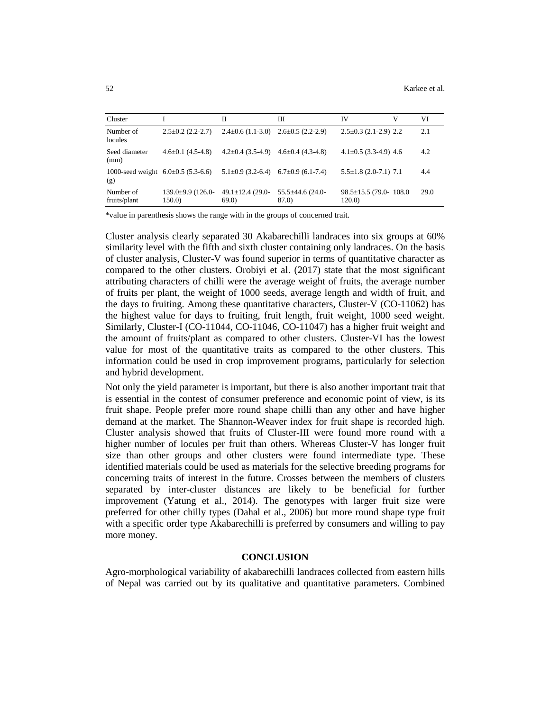| Cluster                                       |                             | П                                            | Ш                             | IV                                      | V | VI   |
|-----------------------------------------------|-----------------------------|----------------------------------------------|-------------------------------|-----------------------------------------|---|------|
| Number of<br>locules                          | $2.5 \pm 0.2$ (2.2-2.7)     | $2.4\pm0.6$ (1.1-3.0) $2.6\pm0.5$ (2.2-2.9)  |                               | $2.5 \pm 0.3$ (2.1-2.9) 2.2             |   | 2.1  |
| Seed diameter<br>(mm)                         | $4.6 \pm 0.1$ (4.5-4.8)     | $4.2 \pm 0.4$ (3.5-4.9)                      | $4.6 \pm 0.4$ (4.3-4.8)       | $4.1 \pm 0.5$ (3.3-4.9) 4.6             |   | 4.2  |
| 1000-seed weight $6.0\pm0.5$ (5.3-6.6)<br>(g) |                             | $5.1\pm0.9$ (3.2-6.4) 6.7 $\pm0.9$ (6.1-7.4) |                               | $5.5 \pm 1.8$ (2.0-7.1) 7.1             |   | 4.4  |
| Number of<br>fruits/plant                     | 139.0±9.9 (126.0-<br>150.0) | $49.1 \pm 12.4$ (29.0-<br>69.0               | $55.5\pm44.6$ (24.0-<br>87.0) | $98.5 \pm 15.5$ (79.0- 108.0)<br>120.0) |   | 29.0 |

\*value in parenthesis shows the range with in the groups of concerned trait.

Cluster analysis clearly separated 30 Akabarechilli landraces into six groups at 60% similarity level with the fifth and sixth cluster containing only landraces. On the basis of cluster analysis, Cluster-V was found superior in terms of quantitative character as compared to the other clusters. Orobiyi et al. (2017) state that the most significant attributing characters of chilli were the average weight of fruits, the average number of fruits per plant, the weight of 1000 seeds, average length and width of fruit, and the days to fruiting. Among these quantitative characters, Cluster-V (CO-11062) has the highest value for days to fruiting, fruit length, fruit weight, 1000 seed weight. Similarly, Cluster-I (CO-11044, CO-11046, CO-11047) has a higher fruit weight and the amount of fruits/plant as compared to other clusters. Cluster-VI has the lowest value for most of the quantitative traits as compared to the other clusters. This information could be used in crop improvement programs, particularly for selection and hybrid development.

Not only the yield parameter is important, but there is also another important trait that is essential in the contest of consumer preference and economic point of view, is its fruit shape. People prefer more round shape chilli than any other and have higher demand at the market. The Shannon-Weaver index for fruit shape is recorded high. Cluster analysis showed that fruits of Cluster-III were found more round with a higher number of locules per fruit than others. Whereas Cluster-V has longer fruit size than other groups and other clusters were found intermediate type. These identified materials could be used as materials for the selective breeding programs for concerning traits of interest in the future. Crosses between the members of clusters separated by inter-cluster distances are likely to be beneficial for further improvement (Yatung et al., 2014). The genotypes with larger fruit size were preferred for other chilly types (Dahal et al., 2006) but more round shape type fruit with a specific order type Akabarechilli is preferred by consumers and willing to pay more money.

#### **CONCLUSION**

Agro-morphological variability of akabarechilli landraces collected from eastern hills of Nepal was carried out by its qualitative and quantitative parameters. Combined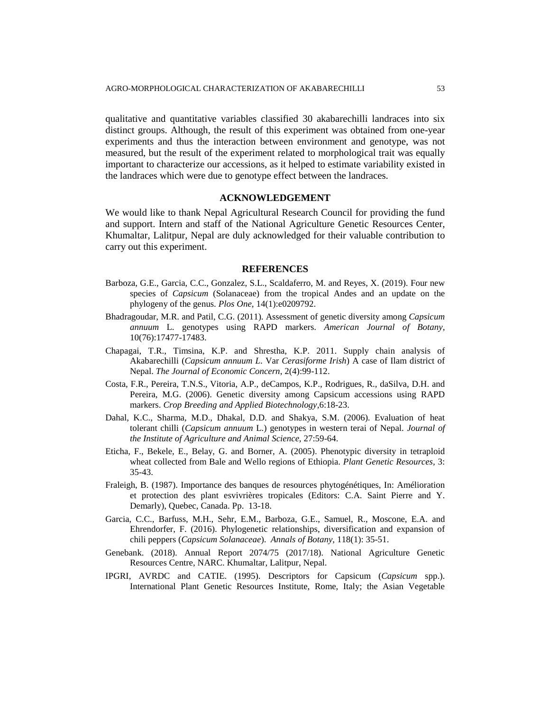qualitative and quantitative variables classified 30 akabarechilli landraces into six distinct groups. Although, the result of this experiment was obtained from one-year experiments and thus the interaction between environment and genotype, was not measured, but the result of the experiment related to morphological trait was equally important to characterize our accessions, as it helped to estimate variability existed in the landraces which were due to genotype effect between the landraces.

## **ACKNOWLEDGEMENT**

We would like to thank Nepal Agricultural Research Council for providing the fund and support. Intern and staff of the National Agriculture Genetic Resources Center, Khumaltar, Lalitpur, Nepal are duly acknowledged for their valuable contribution to carry out this experiment.

#### **REFERENCES**

- Barboza, G.E., Garcia, C.C., Gonzalez, S.L., Scaldaferro, M. and Reyes, X. (2019). Four new species of *Capsicum* (Solanaceae) from the tropical Andes and an update on the phylogeny of the genus. *Plos One,* 14(1):e0209792.
- Bhadragoudar, M.R. and Patil, C.G. (2011). Assessment of genetic diversity among *Capsicum annuum* L. genotypes using RAPD markers. *American Journal of Botany*, 10(76):17477-17483.
- Chapagai, T.R., Timsina, K.P. and Shrestha, K.P. 2011. Supply chain analysis of Akabarechilli (*Capsicum annuum L*. Var *Cerasiforme Irish*) A case of Ilam district of Nepal. *The Journal of Economic Concern*, 2(4):99-112.
- Costa, F.R., Pereira, T.N.S., Vitoria, A.P., deCampos, K.P., Rodrigues, R., daSilva, D.H. and Pereira, M.G. (2006). Genetic diversity among Capsicum accessions using RAPD markers. *Crop Breeding and Applied Biotechnology,*6:18-23.
- Dahal, K.C., Sharma, M.D., Dhakal, D.D. and Shakya, S.M. (2006). Evaluation of heat tolerant chilli (*Capsicum annuum* L.) genotypes in western terai of Nepal. *Journal of the Institute of Agriculture and Animal Science,* 27:59-64.
- Eticha, F., Bekele, E., Belay, G. and Borner, A. (2005). Phenotypic diversity in tetraploid wheat collected from Bale and Wello regions of Ethiopia. *Plant Genetic Resources,* 3: 35-43.
- Fraleigh, B. (1987). Importance des banques de resources phytogénétiques, In: Amélioration et protection des plant esvivrières tropicales (Editors: C.A. Saint Pierre and Y. Demarly), Quebec, Canada. Pp. 13-18.
- Garcia, C.C., Barfuss, M.H., Sehr, E.M., Barboza, G.E., Samuel, R., Moscone, E.A. and Ehrendorfer, F. (2016). Phylogenetic relationships, diversification and expansion of chili peppers (*Capsicum Solanaceae*). *Annals of Botany,* 118(1): 35-51.
- Genebank. (2018). Annual Report 2074/75 (2017/18). National Agriculture Genetic Resources Centre, NARC. Khumaltar, Lalitpur, Nepal.
- IPGRI, AVRDC and CATIE. (1995). Descriptors for Capsicum (*Capsicum* spp.). International Plant Genetic Resources Institute, Rome, Italy; the Asian Vegetable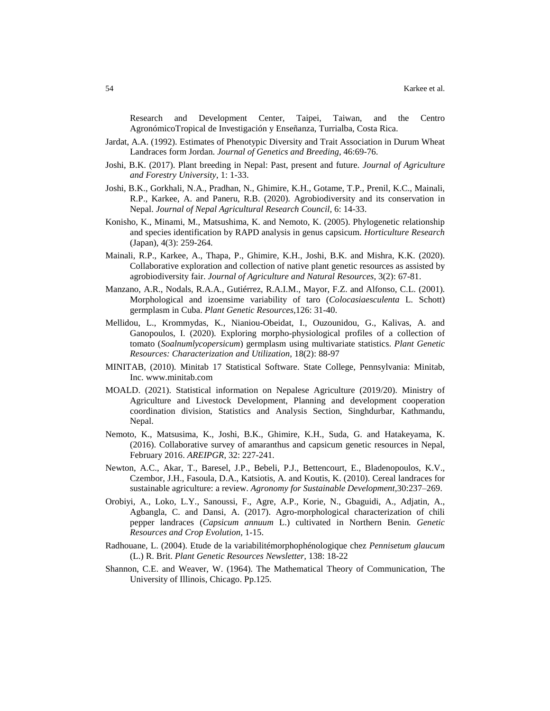Research and Development Center, Taipei, Taiwan, and the Centro AgronómicoTropical de Investigación y Enseñanza, Turrialba, Costa Rica.

- Jardat, A.A. (1992). Estimates of Phenotypic Diversity and Trait Association in Durum Wheat Landraces form Jordan. *Journal of Genetics and Breeding,* 46:69-76.
- Joshi, B.K. (2017). Plant breeding in Nepal: Past, present and future. *Journal of Agriculture and Forestry University*, 1: 1-33.
- Joshi, B.K., Gorkhali, N.A., Pradhan, N., Ghimire, K.H., Gotame, T.P., Prenil, K.C., Mainali, R.P., Karkee, A. and Paneru, R.B. (2020). Agrobiodiversity and its conservation in Nepal. *Journal of Nepal Agricultural Research Council,* 6: 14-33.
- Konisho, K., Minami, M., Matsushima, K. and Nemoto, K. (2005). Phylogenetic relationship and species identification by RAPD analysis in genus capsicum. *Horticulture Research* (Japan), 4(3): 259-264.
- Mainali, R.P., Karkee, A., Thapa, P., Ghimire, K.H., Joshi, B.K. and Mishra, K.K. (2020). Collaborative exploration and collection of native plant genetic resources as assisted by agrobiodiversity fair. *Journal of Agriculture and Natural Resources*, 3(2): 67-81.
- Manzano, A.R., Nodals, R.A.A., Gutiérrez, R.A.I.M., Mayor, F.Z. and Alfonso, C.L. (2001). Morphological and izoensime variability of taro (*Colocasiaesculenta* L. Schott) germplasm in Cuba. *Plant Genetic Resources,*126: 31-40.
- Mellidou, L., Krommydas, K., Nianiou-Obeidat, I., Ouzounidou, G., Kalivas, A. and Ganopoulos, I. (2020). Exploring morpho-physiological profiles of a collection of tomato (*Soalnumlycopersicum*) germplasm using multivariate statistics. *Plant Genetic Resources: Characterization and Utilization,* 18(2): 88-97
- MINITAB, (2010). Minitab 17 Statistical Software. State College, Pennsylvania: Minitab, Inc. www.minitab.com
- MOALD. (2021). Statistical information on Nepalese Agriculture (2019/20). Ministry of Agriculture and Livestock Development, Planning and development cooperation coordination division, Statistics and Analysis Section, Singhdurbar, Kathmandu, Nepal.
- Nemoto, K., Matsusima, K., Joshi, B.K., Ghimire, K.H., Suda, G. and Hatakeyama, K. (2016). Collaborative survey of amaranthus and capsicum genetic resources in Nepal, February 2016. *AREIPGR*, 32: 227-241.
- Newton, A.C., Akar, T., Baresel, J.P., Bebeli, P.J., Bettencourt, E., Bladenopoulos, K.V., Czembor, J.H., Fasoula, D.A., Katsiotis, A. and Koutis, K. (2010). Cereal landraces for sustainable agriculture: a review. *Agronomy for Sustainable Development,*30:237–269.
- Orobiyi, A., Loko, L.Y., Sanoussi, F., Agre, A.P., Korie, N., Gbaguidi, A., Adjatin, A., Agbangla, C. and Dansi, A. (2017). Agro-morphological characterization of chili pepper landraces (*Capsicum annuum* L.) cultivated in Northern Benin*. Genetic Resources and Crop Evolution,* 1-15.
- Radhouane, L. (2004). Etude de la variabilitémorphophénologique chez *Pennisetum glaucum* (L.) R. Brit. *Plant Genetic Resources Newsletter,* 138: 18-22
- Shannon, C.E. and Weaver, W. (1964). The Mathematical Theory of Communication, The University of Illinois, Chicago. Pp.125.